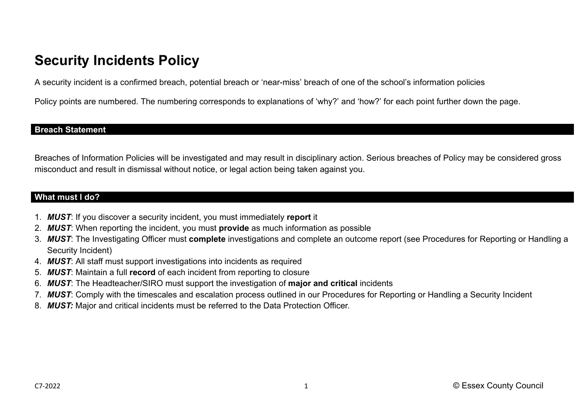# **Security Incidents Policy**

A security incident is a confirmed breach, potential breach or 'near-miss' breach of one of the school's information policies

Policy points are numbered. The numbering corresponds to explanations of 'why?' and 'how?' for each point further down the page.

#### **Breach Statement**

Breaches of Information Policies will be investigated and may result in disciplinary action. Serious breaches of Policy may be considered gross misconduct and result in dismissal without notice, or legal action being taken against you.

#### **What must I do?**

- 1. *MUST*: If you discover a security incident, you must immediately **report** it
- 2. *MUST*: When reporting the incident, you must **provide** as much information as possible
- 3. *MUST*: The Investigating Officer must **complete** investigations and complete an outcome report (see Procedures for Reporting or Handling a Security Incident)
- 4. *MUST*: All staff must support investigations into incidents as required
- 5. *MUST*: Maintain a full **record** of each incident from reporting to closure
- 6. *MUST*: The Headteacher/SIRO must support the investigation of **major and critical** incidents
- 7. *MUST*: Comply with the timescales and escalation process outlined in our Procedures for Reporting or Handling a Security Incident
- 8. *MUST:* Major and critical incidents must be referred to the Data Protection Officer.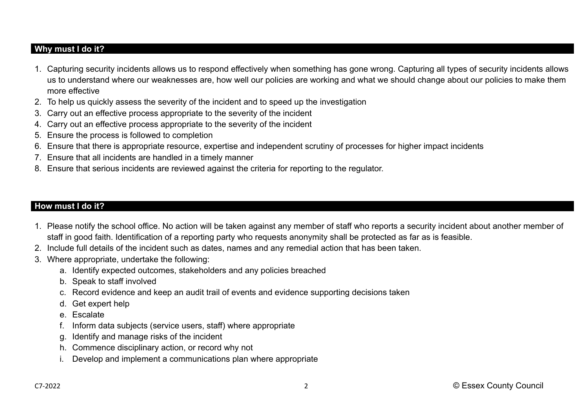## **Why must I do it?**

- 1. Capturing security incidents allows us to respond effectively when something has gone wrong. Capturing all types of security incidents allows us to understand where our weaknesses are, how well our policies are working and what we should change about our policies to make them more effective
- 2. To help us quickly assess the severity of the incident and to speed up the investigation
- 3. Carry out an effective process appropriate to the severity of the incident
- 4. Carry out an effective process appropriate to the severity of the incident
- 5. Ensure the process is followed to completion
- 6. Ensure that there is appropriate resource, expertise and independent scrutiny of processes for higher impact incidents
- 7. Ensure that all incidents are handled in a timely manner
- 8. Ensure that serious incidents are reviewed against the criteria for reporting to the regulator.

### **How must I do it?**

- 1. Please notify the school office. No action will be taken against any member of staff who reports a security incident about another member of staff in good faith. Identification of a reporting party who requests anonymity shall be protected as far as is feasible.
- 2. Include full details of the incident such as dates, names and any remedial action that has been taken.
- 3. Where appropriate, undertake the following:
	- a. Identify expected outcomes, stakeholders and any policies breached
	- b. Speak to staff involved
	- c. Record evidence and keep an audit trail of events and evidence supporting decisions taken
	- d. Get expert help
	- e. Escalate
	- f. Inform data subjects (service users, staff) where appropriate
	- g. Identify and manage risks of the incident
	- h. Commence disciplinary action, or record why not
	- i. Develop and implement a communications plan where appropriate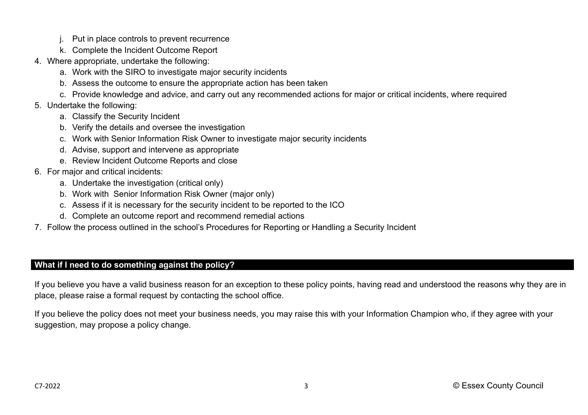- j. Put in place controls to prevent recurrence
- k. Complete the Incident Outcome Report
- 4. Where appropriate, undertake the following:
	- a. Work with the SIRO to investigate major security incidents
	- b. Assess the outcome to ensure the appropriate action has been taken
	- c. Provide knowledge and advice, and carry out any recommended actions for major or critical incidents, where required
- 5. Undertake the following:
	- a. Classify the Security Incident
	- b. Verify the details and oversee the investigation
	- c. Work with Senior Information Risk Owner to investigate major security incidents
	- d. Advise, support and intervene as appropriate
	- e. Review Incident Outcome Reports and close
- 6. For major and critical incidents:
	- a. Undertake the investigation (critical only)
	- b. Work with Senior Information Risk Owner (major only)
	- c. Assess if it is necessary for the security incident to be reported to the ICO
	- d. Complete an outcome report and recommend remedial actions
- 7. Follow the process outlined in the school's Procedures for Reporting or Handling a Security Incident

## **What if I need to do something against the policy?**

If you believe you have a valid business reason for an exception to these policy points, having read and understood the reasons why they are in place, please raise a formal request by contacting the school office.

If you believe the policy does not meet your business needs, you may raise this with your Information Champion who, if they agree with your suggestion, may propose a policy change.